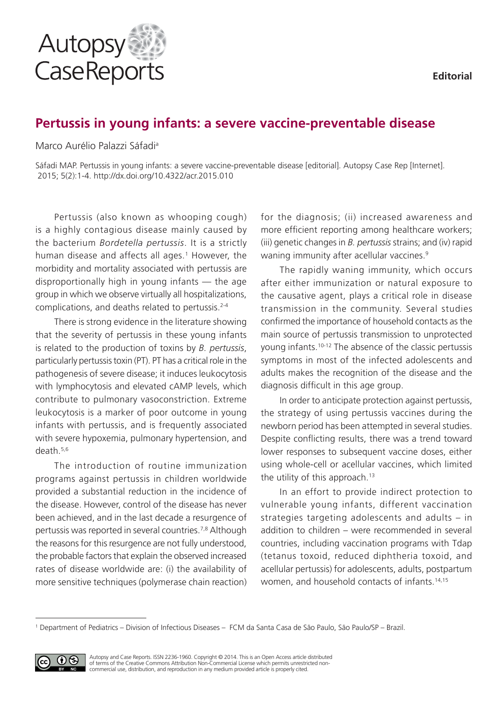

# **Pertussis in young infants: a severe vaccine-preventable disease**

Marco Aurélio Palazzi Sáfadia

Sáfadi MAP. Pertussis in young infants: a severe vaccine-preventable disease [editorial]. Autopsy Case Rep [Internet]. 2015; 5(2):1-4. http://dx.doi.org/10.4322/acr.2015.010

Pertussis (also known as whooping cough) is a highly contagious disease mainly caused by the bacterium *Bordetella pertussis*. It is a strictly human disease and affects all ages.<sup>1</sup> However, the morbidity and mortality associated with pertussis are disproportionally high in young infants — the age group in which we observe virtually all hospitalizations, complications, and deaths related to pertussis.<sup>2-4</sup>

There is strong evidence in the literature showing that the severity of pertussis in these young infants is related to the production of toxins by *B. pertussis*, particularly pertussis toxin (PT). PT has a critical role in the pathogenesis of severe disease; it induces leukocytosis with lymphocytosis and elevated cAMP levels, which contribute to pulmonary vasoconstriction. Extreme leukocytosis is a marker of poor outcome in young infants with pertussis, and is frequently associated with severe hypoxemia, pulmonary hypertension, and death.5,6

The introduction of routine immunization programs against pertussis in children worldwide provided a substantial reduction in the incidence of the disease. However, control of the disease has never been achieved, and in the last decade a resurgence of pertussis was reported in several countries.7,8 Although the reasons for this resurgence are not fully understood, the probable factors that explain the observed increased rates of disease worldwide are: (i) the availability of more sensitive techniques (polymerase chain reaction) for the diagnosis; (ii) increased awareness and more efficient reporting among healthcare workers; (iii) genetic changes in *B. pertussis* strains; and (iv) rapid waning immunity after acellular vaccines.<sup>9</sup>

The rapidly waning immunity, which occurs after either immunization or natural exposure to the causative agent, plays a critical role in disease transmission in the community. Several studies confirmed the importance of household contacts as the main source of pertussis transmission to unprotected young infants.10-12 The absence of the classic pertussis symptoms in most of the infected adolescents and adults makes the recognition of the disease and the diagnosis difficult in this age group.

In order to anticipate protection against pertussis, the strategy of using pertussis vaccines during the newborn period has been attempted in several studies. Despite conflicting results, there was a trend toward lower responses to subsequent vaccine doses, either using whole-cell or acellular vaccines, which limited the utility of this approach.<sup>13</sup>

In an effort to provide indirect protection to vulnerable young infants, different vaccination strategies targeting adolescents and adults – in addition to children – were recommended in several countries, including vaccination programs with Tdap (tetanus toxoid, reduced diphtheria toxoid, and acellular pertussis) for adolescents, adults, postpartum women, and household contacts of infants.<sup>14,15</sup>

<sup>1</sup> Department of Pediatrics – Division of Infectious Diseases – FCM da Santa Casa de São Paulo, São Paulo/SP – Brazil.



Autopsy and Case Reports. ISSN 2236-1960. Copyright © 2014. This is an Open Access article distributed of terms of the Creative Commons Attribution Non-Commercial License which permits unrestricted noncommercial use, distribution, and reproduction in any medium provided article is properly cited.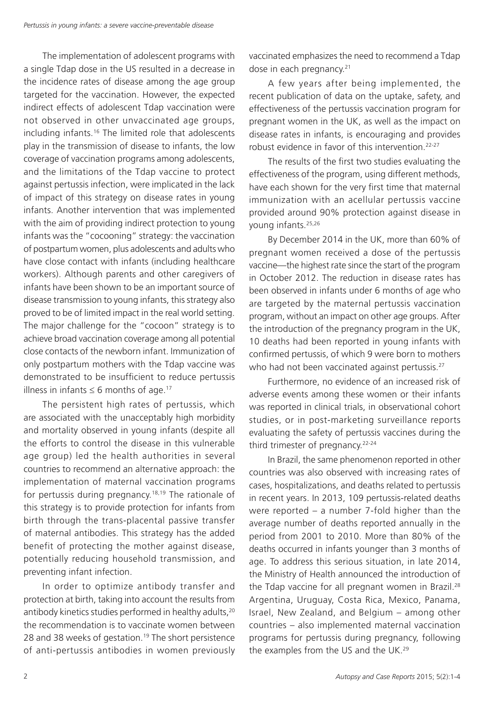The implementation of adolescent programs with a single Tdap dose in the US resulted in a decrease in the incidence rates of disease among the age group targeted for the vaccination. However, the expected indirect effects of adolescent Tdap vaccination were not observed in other unvaccinated age groups, including infants.16 The limited role that adolescents play in the transmission of disease to infants, the low coverage of vaccination programs among adolescents, and the limitations of the Tdap vaccine to protect against pertussis infection, were implicated in the lack of impact of this strategy on disease rates in young infants. Another intervention that was implemented with the aim of providing indirect protection to young infants was the "cocooning" strategy: the vaccination of postpartum women, plus adolescents and adults who have close contact with infants (including healthcare workers). Although parents and other caregivers of infants have been shown to be an important source of disease transmission to young infants, this strategy also proved to be of limited impact in the real world setting. The major challenge for the "cocoon" strategy is to achieve broad vaccination coverage among all potential close contacts of the newborn infant. Immunization of only postpartum mothers with the Tdap vaccine was demonstrated to be insufficient to reduce pertussis illness in infants  $\leq 6$  months of age.<sup>17</sup>

The persistent high rates of pertussis, which are associated with the unacceptably high morbidity and mortality observed in young infants (despite all the efforts to control the disease in this vulnerable age group) led the health authorities in several countries to recommend an alternative approach: the implementation of maternal vaccination programs for pertussis during pregnancy.18,19 The rationale of this strategy is to provide protection for infants from birth through the trans-placental passive transfer of maternal antibodies. This strategy has the added benefit of protecting the mother against disease, potentially reducing household transmission, and preventing infant infection.

In order to optimize antibody transfer and protection at birth, taking into account the results from antibody kinetics studies performed in healthy adults,<sup>20</sup> the recommendation is to vaccinate women between 28 and 38 weeks of gestation.<sup>19</sup> The short persistence of anti-pertussis antibodies in women previously vaccinated emphasizes the need to recommend a Tdap dose in each pregnancy.<sup>21</sup>

A few years after being implemented, the recent publication of data on the uptake, safety, and effectiveness of the pertussis vaccination program for pregnant women in the UK, as well as the impact on disease rates in infants, is encouraging and provides robust evidence in favor of this intervention.22-27

The results of the first two studies evaluating the effectiveness of the program, using different methods, have each shown for the very first time that maternal immunization with an acellular pertussis vaccine provided around 90% protection against disease in young infants.25,26

By December 2014 in the UK, more than 60% of pregnant women received a dose of the pertussis vaccine—the highest rate since the start of the program in October 2012. The reduction in disease rates has been observed in infants under 6 months of age who are targeted by the maternal pertussis vaccination program, without an impact on other age groups. After the introduction of the pregnancy program in the UK, 10 deaths had been reported in young infants with confirmed pertussis, of which 9 were born to mothers who had not been vaccinated against pertussis.<sup>27</sup>

Furthermore, no evidence of an increased risk of adverse events among these women or their infants was reported in clinical trials, in observational cohort studies, or in post-marketing surveillance reports evaluating the safety of pertussis vaccines during the third trimester of pregnancy.<sup>22-24</sup>

In Brazil, the same phenomenon reported in other countries was also observed with increasing rates of cases, hospitalizations, and deaths related to pertussis in recent years. In 2013, 109 pertussis-related deaths were reported – a number 7-fold higher than the average number of deaths reported annually in the period from 2001 to 2010. More than 80% of the deaths occurred in infants younger than 3 months of age. To address this serious situation, in late 2014, the Ministry of Health announced the introduction of the Tdap vaccine for all pregnant women in Brazil.<sup>28</sup> Argentina, Uruguay, Costa Rica, Mexico, Panama, Israel, New Zealand, and Belgium – among other countries – also implemented maternal vaccination programs for pertussis during pregnancy, following the examples from the US and the UK.<sup>29</sup>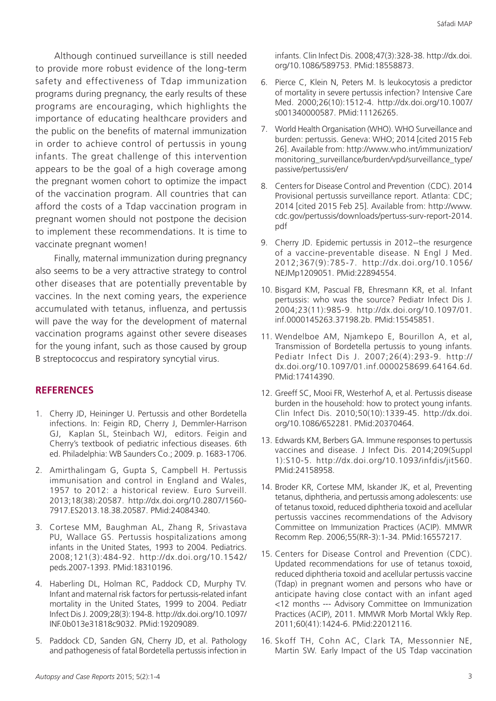Although continued surveillance is still needed to provide more robust evidence of the long-term safety and effectiveness of Tdap immunization programs during pregnancy, the early results of these programs are encouraging, which highlights the importance of educating healthcare providers and the public on the benefits of maternal immunization in order to achieve control of pertussis in young infants. The great challenge of this intervention appears to be the goal of a high coverage among the pregnant women cohort to optimize the impact of the vaccination program. All countries that can afford the costs of a Tdap vaccination program in pregnant women should not postpone the decision to implement these recommendations. It is time to vaccinate pregnant women!

Finally, maternal immunization during pregnancy also seems to be a very attractive strategy to control other diseases that are potentially preventable by vaccines. In the next coming years, the experience accumulated with tetanus, influenza, and pertussis will pave the way for the development of maternal vaccination programs against other severe diseases for the young infant, such as those caused by group B streptococcus and respiratory syncytial virus.

## **REFERENCES**

- 1. Cherry JD, Heininger U. Pertussis and other Bordetella infections. In: Feigin RD, Cherry J, Demmler-Harrison GJ, Kaplan SL, Steinbach WJ, editors. Feigin and Cherry's textbook of pediatric infectious diseases. 6th ed. Philadelphia: WB Saunders Co.; 2009. p. 1683-1706.
- 2. Amirthalingam G, Gupta S, Campbell H. Pertussis immunisation and control in England and Wales, 1957 to 2012: a historical review. Euro Surveill. 2013;18(38):20587. [http://dx.doi.org/10.2807/1560-](http://dx.doi.org/10.2807/1560-7917.ES2013.18.38.20587) [7917.ES2013.18.38.20587](http://dx.doi.org/10.2807/1560-7917.ES2013.18.38.20587). [PMid:24084340.](http://www.ncbi.nlm.nih.gov/entrez/query.fcgi?cmd=Retrieve&db=PubMed&list_uids=24084340&dopt=Abstract)
- 3. Cortese MM, Baughman AL, Zhang R, Srivastava PU, Wallace GS. Pertussis hospitalizations among infants in the United States, 1993 to 2004. Pediatrics. 2008;121(3):484-92. [http://dx.doi.org/10.1542/](http://dx.doi.org/10.1542/peds.2007-1393) [peds.2007-1393](http://dx.doi.org/10.1542/peds.2007-1393). [PMid:18310196.](http://www.ncbi.nlm.nih.gov/entrez/query.fcgi?cmd=Retrieve&db=PubMed&list_uids=18310196&dopt=Abstract)
- 4. Haberling DL, Holman RC, Paddock CD, Murphy TV. Infant and maternal risk factors for pertussis-related infant mortality in the United States, 1999 to 2004. Pediatr Infect Dis J. 2009;28(3):194-8. [http://dx.doi.org/10.1097/](http://dx.doi.org/10.1097/INF.0b013e31818c9032) [INF.0b013e31818c9032.](http://dx.doi.org/10.1097/INF.0b013e31818c9032) [PMid:19209089.](http://www.ncbi.nlm.nih.gov/entrez/query.fcgi?cmd=Retrieve&db=PubMed&list_uids=19209089&dopt=Abstract)
- 5. Paddock CD, Sanden GN, Cherry JD, et al. Pathology and pathogenesis of fatal Bordetella pertussis infection in

infants. Clin Infect Dis. 2008;47(3):328-38. [http://dx.doi.](http://dx.doi.org/10.1086/589753) [org/10.1086/589753.](http://dx.doi.org/10.1086/589753) [PMid:18558873.](http://www.ncbi.nlm.nih.gov/entrez/query.fcgi?cmd=Retrieve&db=PubMed&list_uids=18558873&dopt=Abstract)

- 6. Pierce C, Klein N, Peters M. Is leukocytosis a predictor of mortality in severe pertussis infection? Intensive Care Med. 2000;26(10):1512-4. [http://dx.doi.org/10.1007/](http://dx.doi.org/10.1007/s001340000587) [s001340000587.](http://dx.doi.org/10.1007/s001340000587) [PMid:11126265.](http://www.ncbi.nlm.nih.gov/entrez/query.fcgi?cmd=Retrieve&db=PubMed&list_uids=11126265&dopt=Abstract)
- 7. World Health Organisation (WHO). WHO Surveillance and burden: pertussis. Geneva: WHO; 2014 [cited 2015 Feb 26]. Available from: http://www.who.int/immunization/ monitoring\_surveillance/burden/vpd/surveillance\_type/ passive/pertussis/en/
- 8. Centers for Disease Control and Prevention (CDC). 2014 Provisional pertussis surveillance report. Atlanta: CDC; 2014 [cited 2015 Feb 25]. Available from: http://www. cdc.gov/pertussis/downloads/pertuss-surv-report-2014. pdf
- 9. Cherry JD. Epidemic pertussis in 2012--the resurgence of a vaccine-preventable disease. N Engl J Med. 2012;367(9):785-7. [http://dx.doi.org/10.1056/](http://dx.doi.org/10.1056/NEJMp1209051) [NEJMp1209051.](http://dx.doi.org/10.1056/NEJMp1209051) [PMid:22894554.](http://www.ncbi.nlm.nih.gov/entrez/query.fcgi?cmd=Retrieve&db=PubMed&list_uids=22894554&dopt=Abstract)
- 10. Bisgard KM, Pascual FB, Ehresmann KR, et al. Infant pertussis: who was the source? Pediatr Infect Dis J. 2004;23(11):985-9. [http://dx.doi.org/10.1097/01.](http://dx.doi.org/10.1097/01.inf.0000145263.37198.2b) [inf.0000145263.37198.2b](http://dx.doi.org/10.1097/01.inf.0000145263.37198.2b). [PMid:15545851.](http://www.ncbi.nlm.nih.gov/entrez/query.fcgi?cmd=Retrieve&db=PubMed&list_uids=15545851&dopt=Abstract)
- 11. Wendelboe AM, Njamkepo E, Bourillon A, et al, Transmission of Bordetella pertussis to young infants. Pediatr Infect Dis J. 2007;26(4):293-9. [http://](http://dx.doi.org/10.1097/01.inf.0000258699.64164.6d) [dx.doi.org/10.1097/01.inf.0000258699.64164.6d](http://dx.doi.org/10.1097/01.inf.0000258699.64164.6d). [PMid:17414390.](http://www.ncbi.nlm.nih.gov/entrez/query.fcgi?cmd=Retrieve&db=PubMed&list_uids=17414390&dopt=Abstract)
- 12. Greeff SC, Mooi FR, Westerhof A, et al. Pertussis disease burden in the household: how to protect young infants. Clin Infect Dis. 2010;50(10):1339-45. [http://dx.doi.](http://dx.doi.org/10.1086/652281) [org/10.1086/652281.](http://dx.doi.org/10.1086/652281) [PMid:20370464.](http://www.ncbi.nlm.nih.gov/entrez/query.fcgi?cmd=Retrieve&db=PubMed&list_uids=20370464&dopt=Abstract)
- 13. Edwards KM, Berbers GA. Immune responses to pertussis vaccines and disease. J Infect Dis. 2014;209(Suppl 1):S10-5. <http://dx.doi.org/10.1093/infdis/jit560>. [PMid:24158958.](http://www.ncbi.nlm.nih.gov/entrez/query.fcgi?cmd=Retrieve&db=PubMed&list_uids=24158958&dopt=Abstract)
- 14. Broder KR, Cortese MM, Iskander JK, et al, Preventing tetanus, diphtheria, and pertussis among adolescents: use of tetanus toxoid, reduced diphtheria toxoid and acellular pertussis vaccines recommendations of the Advisory Committee on Immunization Practices (ACIP). MMWR Recomm Rep. 2006;55(RR-3):1-34. [PMid:16557217.](http://www.ncbi.nlm.nih.gov/entrez/query.fcgi?cmd=Retrieve&db=PubMed&list_uids=16557217&dopt=Abstract)
- 15. Centers for Disease Control and Prevention (CDC). Updated recommendations for use of tetanus toxoid, reduced diphtheria toxoid and acellular pertussis vaccine (Tdap) in pregnant women and persons who have or anticipate having close contact with an infant aged <12 months --- Advisory Committee on Immunization Practices (ACIP), 2011. MMWR Morb Mortal Wkly Rep. 2011;60(41):1424-6[. PMid:22012116.](http://www.ncbi.nlm.nih.gov/entrez/query.fcgi?cmd=Retrieve&db=PubMed&list_uids=22012116&dopt=Abstract)
- 16. Skoff TH, Cohn AC, Clark TA, Messonnier NE, Martin SW. Early Impact of the US Tdap vaccination